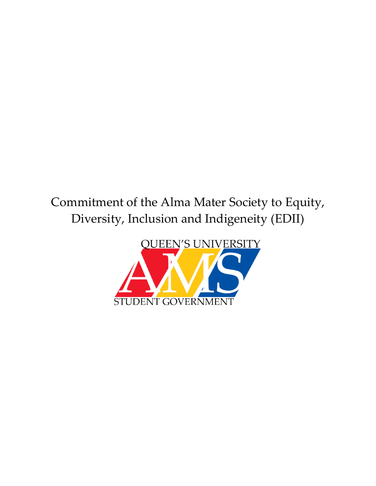# Commitment of the Alma Mater Society to Equity, Diversity, Inclusion and Indigeneity (EDII)

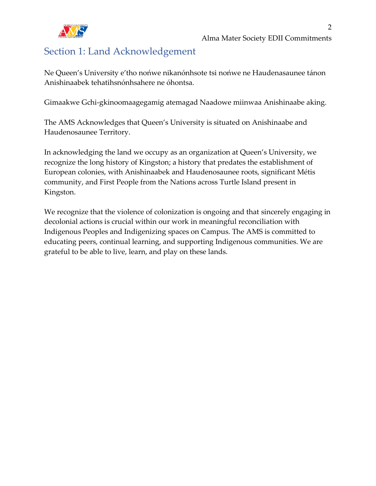

# <span id="page-1-0"></span>Section 1: Land Acknowledgement

Ne Queen's University e'tho nońwe nikanónhsote tsi nońwe ne Haudenasaunee tánon Anishinaabek tehatihsnónhsahere ne óhontsa.

Gimaakwe Gchi-gkinoomaagegamig atemagad Naadowe miinwaa Anishinaabe aking.

The AMS Acknowledges that Queen's University is situated on Anishinaabe and Haudenosaunee Territory.

In acknowledging the land we occupy as an organization at Queen's University, we recognize the long history of Kingston; a history that predates the establishment of European colonies, with Anishinaabek and Haudenosaunee roots, significant Métis community, and First People from the Nations across Turtle Island present in Kingston.

We recognize that the violence of colonization is ongoing and that sincerely engaging in decolonial actions is crucial within our work in meaningful reconciliation with Indigenous Peoples and Indigenizing spaces on Campus. The AMS is committed to educating peers, continual learning, and supporting Indigenous communities. We are grateful to be able to live, learn, and play on these lands.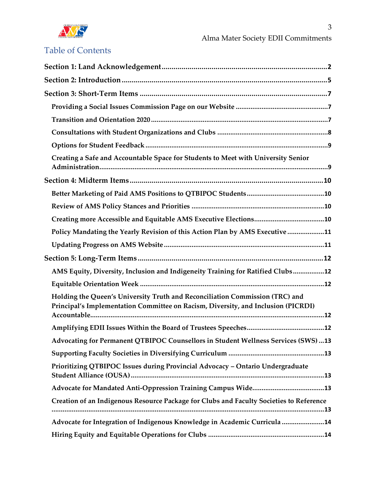

| Creating a Safe and Accountable Space for Students to Meet with University Senior                                                                                 |
|-------------------------------------------------------------------------------------------------------------------------------------------------------------------|
|                                                                                                                                                                   |
|                                                                                                                                                                   |
|                                                                                                                                                                   |
|                                                                                                                                                                   |
| Policy Mandating the Yearly Revision of this Action Plan by AMS Executive 11                                                                                      |
|                                                                                                                                                                   |
|                                                                                                                                                                   |
| AMS Equity, Diversity, Inclusion and Indigeneity Training for Ratified Clubs12                                                                                    |
|                                                                                                                                                                   |
| Holding the Queen's University Truth and Reconciliation Commission (TRC) and<br>Principal's Implementation Committee on Racism, Diversity, and Inclusion (PICRDI) |
|                                                                                                                                                                   |
| Advocating for Permanent QTBIPOC Counsellors in Student Wellness Services (SWS)  13                                                                               |
|                                                                                                                                                                   |
| Prioritizing QTBIPOC Issues during Provincial Advocacy - Ontario Undergraduate                                                                                    |
|                                                                                                                                                                   |
| Creation of an Indigenous Resource Package for Clubs and Faculty Societies to Reference                                                                           |
|                                                                                                                                                                   |
| Advocate for Integration of Indigenous Knowledge in Academic Curricula 14                                                                                         |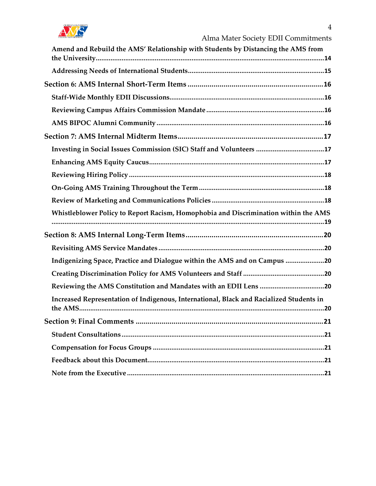

| Amend and Rebuild the AMS' Relationship with Students by Distancing the AMS from        |  |
|-----------------------------------------------------------------------------------------|--|
|                                                                                         |  |
|                                                                                         |  |
|                                                                                         |  |
|                                                                                         |  |
|                                                                                         |  |
|                                                                                         |  |
| Investing in Social Issues Commission (SIC) Staff and Volunteers 17                     |  |
|                                                                                         |  |
|                                                                                         |  |
|                                                                                         |  |
|                                                                                         |  |
| Whistleblower Policy to Report Racism, Homophobia and Discrimination within the AMS     |  |
|                                                                                         |  |
|                                                                                         |  |
| Indigenizing Space, Practice and Dialogue within the AMS and on Campus 20               |  |
|                                                                                         |  |
| Reviewing the AMS Constitution and Mandates with an EDII Lens 20                        |  |
| Increased Representation of Indigenous, International, Black and Racialized Students in |  |
|                                                                                         |  |
|                                                                                         |  |
|                                                                                         |  |
|                                                                                         |  |
|                                                                                         |  |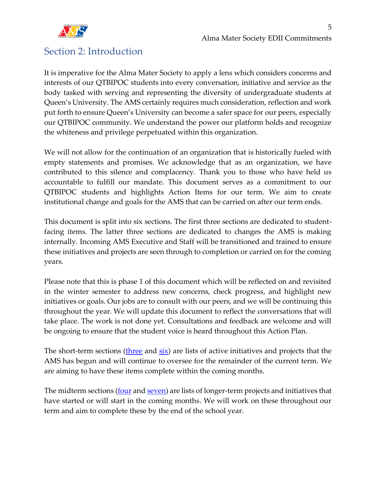

### <span id="page-4-0"></span>Section 2: Introduction

It is imperative for the Alma Mater Society to apply a lens which considers concerns and interests of our QTBIPOC students into every conversation, initiative and service as the body tasked with serving and representing the diversity of undergraduate students at Queen's University. The AMS certainly requires much consideration, reflection and work put forth to ensure Queen's University can become a safer space for our peers, especially our QTBIPOC community. We understand the power our platform holds and recognize the whiteness and privilege perpetuated within this organization.

We will not allow for the continuation of an organization that is historically fueled with empty statements and promises. We acknowledge that as an organization, we have contributed to this silence and complacency. Thank you to those who have held us accountable to fulfill our mandate. This document serves as a commitment to our QTBIPOC students and highlights Action Items for our term. We aim to create institutional change and goals for the AMS that can be carried on after our term ends.

This document is split into six sections. The first three sections are dedicated to studentfacing items. The latter three sections are dedicated to changes the AMS is making internally. Incoming AMS Executive and Staff will be transitioned and trained to ensure these initiatives and projects are seen through to completion or carried on for the coming years.

Please note that this is phase 1 of this document which will be reflected on and revisited in the winter semester to address new concerns, check progress, and highlight new initiatives or goals. Our jobs are to consult with our peers, and we will be continuing this throughout the year. We will update this document to reflect the conversations that will take place. The work is not done yet. Consultations and feedback are welcome and will be ongoing to ensure that the student voice is heard throughout this Action Plan.

The short-term sections [\(three](#page-6-0) and  $\overline{six}$ ) are lists of active initiatives and projects that the AMS has begun and will continue to oversee for the remainder of the current term. We are aiming to have these items complete within the coming months.

The midterm sections (**four** and [seven\)](#page-16-0) are lists of longer-term projects and initiatives that have started or will start in the coming months. We will work on these throughout our term and aim to complete these by the end of the school year.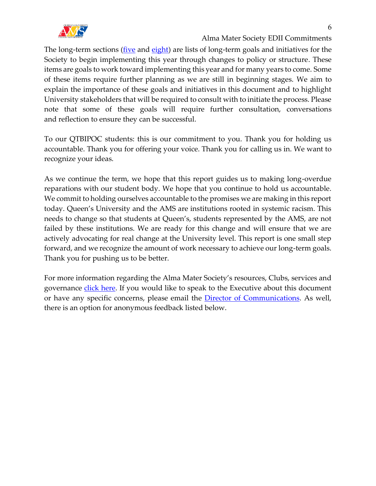

Alma Mater Society EDII Commitments

The long-term sections (*five* and [eight\)](#page-19-0) are lists of long-term goals and initiatives for the Society to begin implementing this year through changes to policy or structure. These items are goals to work toward implementing this year and for many years to come. Some of these items require further planning as we are still in beginning stages. We aim to explain the importance of these goals and initiatives in this document and to highlight University stakeholders that will be required to consult with to initiate the process. Please note that some of these goals will require further consultation, conversations and reflection to ensure they can be successful.

To our QTBIPOC students: this is our commitment to you. Thank you for holding us accountable. Thank you for offering your voice. Thank you for calling us in. We want to recognize your ideas.

As we continue the term, we hope that this report guides us to making long-overdue reparations with our student body. We hope that you continue to hold us accountable. We commit to holding ourselves accountable to the promises we are making in this report today. Queen's University and the AMS are institutions rooted in systemic racism. This needs to change so that students at Queen's, students represented by the AMS, are not failed by these institutions. We are ready for this change and will ensure that we are actively advocating for real change at the University level. This report is one small step forward, and we recognize the amount of work necessary to achieve our long-term goals. Thank you for pushing us to be better.

For more information regarding the Alma Mater Society's resources, Clubs, services and governance [click here.](http://myams.org/) If you would like to speak to the Executive about this document or have any specific concerns, please email the [Director of Communications.](mailto:communications@ams.queensu.ca?subject=Feedback%20on%20AMS%20Commitment%20to%20QTBIPOC%20Students) As well, there is an option for anonymous feedback listed below.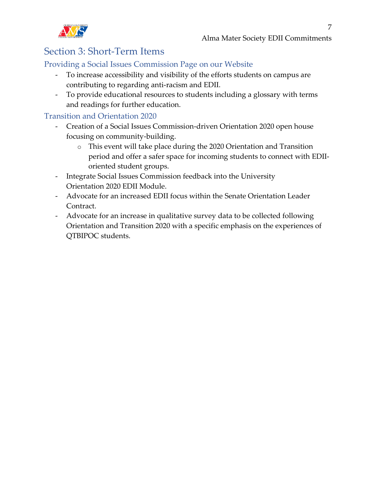

# <span id="page-6-0"></span>Section 3: Short-Term Items

#### <span id="page-6-1"></span>Providing a Social Issues Commission Page on our Website

- To increase accessibility and visibility of the efforts students on campus are contributing to regarding anti-racism and EDII.
- To provide educational resources to students including a glossary with terms and readings for further education.

#### <span id="page-6-2"></span>Transition and Orientation 2020

- Creation of a Social Issues Commission-driven Orientation 2020 open house focusing on community-building.
	- o This event will take place during the 2020 Orientation and Transition period and offer a safer space for incoming students to connect with EDIIoriented student groups.
- Integrate Social Issues Commission feedback into the University Orientation 2020 EDII Module.
- Advocate for an increased EDII focus within the Senate Orientation Leader Contract.
- Advocate for an increase in qualitative survey data to be collected following Orientation and Transition 2020 with a specific emphasis on the experiences of QTBIPOC students.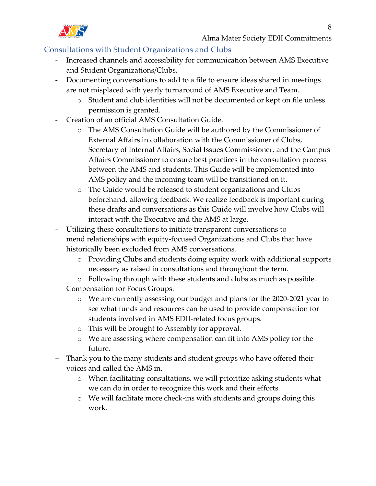

#### <span id="page-7-0"></span>Consultations with Student Organizations and Clubs

- Increased channels and accessibility for communication between AMS Executive and Student Organizations/Clubs.
- Documenting conversations to add to a file to ensure ideas shared in meetings are not misplaced with yearly turnaround of AMS Executive and Team.
	- o Student and club identities will not be documented or kept on file unless permission is granted.
- Creation of an official AMS Consultation Guide.
	- o The AMS Consultation Guide will be authored by the Commissioner of External Affairs in collaboration with the Commissioner of Clubs, Secretary of Internal Affairs, Social Issues Commissioner, and the Campus Affairs Commissioner to ensure best practices in the consultation process between the AMS and students. This Guide will be implemented into AMS policy and the incoming team will be transitioned on it.
	- o The Guide would be released to student organizations and Clubs beforehand, allowing feedback. We realize feedback is important during these drafts and conversations as this Guide will involve how Clubs will interact with the Executive and the AMS at large.
- Utilizing these consultations to initiate transparent conversations to mend relationships with equity-focused Organizations and Clubs that have historically been excluded from AMS conversations.
	- o Providing Clubs and students doing equity work with additional supports necessary as raised in consultations and throughout the term.
	- o Following through with these students and clubs as much as possible.
- − Compensation for Focus Groups:
	- o We are currently assessing our budget and plans for the 2020-2021 year to see what funds and resources can be used to provide compensation for students involved in AMS EDII-related focus groups.
	- o This will be brought to Assembly for approval.
	- o We are assessing where compensation can fit into AMS policy for the future.
- − Thank you to the many students and student groups who have offered their voices and called the AMS in.
	- o When facilitating consultations, we will prioritize asking students what we can do in order to recognize this work and their efforts.
	- o We will facilitate more check-ins with students and groups doing this work.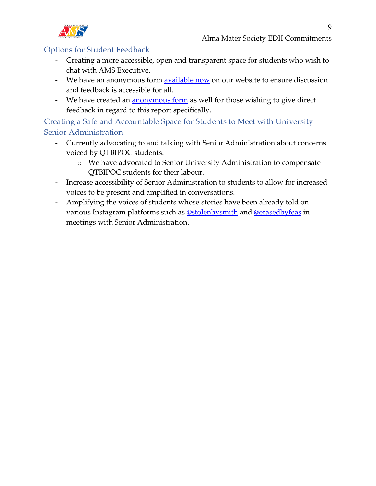

#### <span id="page-8-0"></span>Options for Student Feedback

- Creating a more accessible, open and transparent space for students who wish to chat with AMS Executive.
- We have an anonymous form **available now** on our website to ensure discussion and feedback is accessible for all.
- We have created an **[anonymous form](https://forms.office.com/Pages/ResponsePage.aspx?id=ojKzEm_zjk-kqodi9MZZUoFQK7izENxHpsHdYjVCb0RURFZHNDIzUUhLSUVJQTJISEY3NjAyV0ZLTi4u)** as well for those wishing to give direct feedback in regard to this report specifically.

<span id="page-8-1"></span>Creating a Safe and Accountable Space for Students to Meet with University Senior Administration

- Currently advocating to and talking with Senior Administration about concerns voiced by QTBIPOC students.
	- o We have advocated to Senior University Administration to compensate QTBIPOC students for their labour.
- Increase accessibility of Senior Administration to students to allow for increased voices to be present and amplified in conversations.
- Amplifying the voices of students whose stories have been already told on various Instagram platforms such as [@stolenbysmith](https://www.instagram.com/stolenbysmith/) and [@erasedbyfeas](https://www.instagram.com/erasedbyfeas/) in meetings with Senior Administration.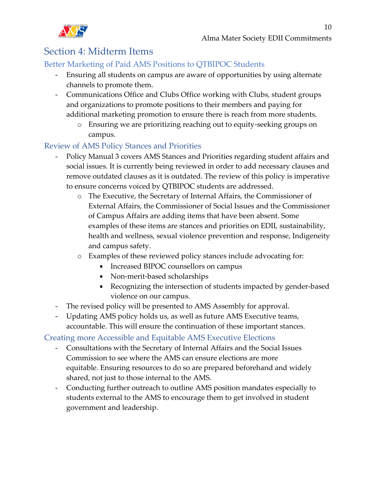

# <span id="page-9-0"></span>Section 4: Midterm Items

#### <span id="page-9-1"></span>Better Marketing of Paid AMS Positions to QTBIPOC Students

- Ensuring all students on campus are aware of opportunities by using alternate channels to promote them.
- Communications Office and Clubs Office working with Clubs, student groups and organizations to promote positions to their members and paying for additional marketing promotion to ensure there is reach from more students.
	- o Ensuring we are prioritizing reaching out to equity-seeking groups on campus.

#### <span id="page-9-2"></span>Review of AMS Policy Stances and Priorities

- Policy Manual 3 covers AMS Stances and Priorities regarding student affairs and social issues. It is currently being reviewed in order to add necessary clauses and remove outdated clauses as it is outdated. The review of this policy is imperative to ensure concerns voiced by QTBIPOC students are addressed.
	- o The Executive, the Secretary of Internal Affairs, the Commissioner of External Affairs, the Commissioner of Social Issues and the Commissioner of Campus Affairs are adding items that have been absent. Some examples of these items are stances and priorities on EDII, sustainability, health and wellness, sexual violence prevention and response, Indigeneity and campus safety.
	- o Examples of these reviewed policy stances include advocating for:
		- Increased BIPOC counsellors on campus
		- Non-merit-based scholarships
		- Recognizing the intersection of students impacted by gender-based violence on our campus.
- The revised policy will be presented to AMS Assembly for approval.
- Updating AMS policy holds us, as well as future AMS Executive teams, accountable. This will ensure the continuation of these important stances.

#### <span id="page-9-3"></span>Creating more Accessible and Equitable AMS Executive Elections

- Consultations with the Secretary of Internal Affairs and the Social Issues Commission to see where the AMS can ensure elections are more equitable. Ensuring resources to do so are prepared beforehand and widely shared, not just to those internal to the AMS.
- Conducting further outreach to outline AMS position mandates especially to students external to the AMS to encourage them to get involved in student government and leadership.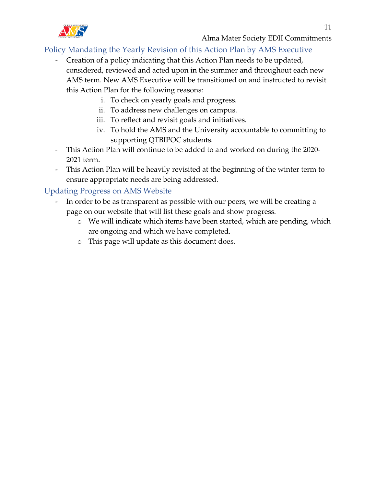

#### <span id="page-10-0"></span>Policy Mandating the Yearly Revision of this Action Plan by AMS Executive

- Creation of a policy indicating that this Action Plan needs to be updated, considered, reviewed and acted upon in the summer and throughout each new AMS term. New AMS Executive will be transitioned on and instructed to revisit this Action Plan for the following reasons:
	- i. To check on yearly goals and progress.
	- ii. To address new challenges on campus.
	- iii. To reflect and revisit goals and initiatives.
	- iv. To hold the AMS and the University accountable to committing to supporting QTBIPOC students.
- This Action Plan will continue to be added to and worked on during the 2020- 2021 term.
- This Action Plan will be heavily revisited at the beginning of the winter term to ensure appropriate needs are being addressed.

#### <span id="page-10-1"></span>Updating Progress on AMS Website

- In order to be as transparent as possible with our peers, we will be creating a page on our website that will list these goals and show progress.
	- o We will indicate which items have been started, which are pending, which are ongoing and which we have completed.
	- o This page will update as this document does.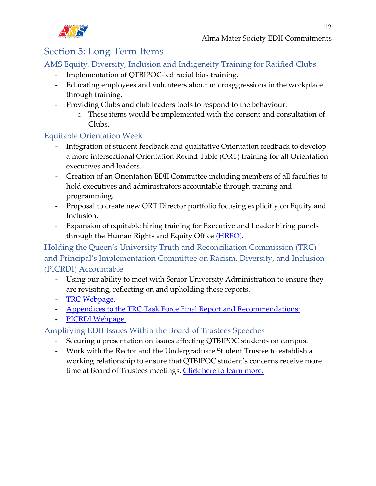# <span id="page-11-0"></span>Section 5: Long-Term Items

#### <span id="page-11-1"></span>AMS Equity, Diversity, Inclusion and Indigeneity Training for Ratified Clubs

- Implementation of QTBIPOC-led racial bias training.
- Educating employees and volunteers about microaggressions in the workplace through training.
- Providing Clubs and club leaders tools to respond to the behaviour.
	- o These items would be implemented with the consent and consultation of Clubs.

#### <span id="page-11-2"></span>Equitable Orientation Week

- Integration of student feedback and qualitative Orientation feedback to develop a more intersectional Orientation Round Table (ORT) training for all Orientation executives and leaders.
- Creation of an Orientation EDII Committee including members of all faculties to hold executives and administrators accountable through training and programming.
- Proposal to create new ORT Director portfolio focusing explicitly on Equity and Inclusion.
- Expansion of equitable hiring training for Executive and Leader hiring panels through the Human Rights and Equity Office [\(HREO\).](https://www.queensu.ca/hreo/home)

<span id="page-11-3"></span>Holding the Queen's University Truth and Reconciliation Commission (TRC) and Principal's Implementation Committee on Racism, Diversity, and Inclusion (PICRDI) Accountable

- Using our ability to meet with Senior University Administration to ensure they are revisiting, reflecting on and upholding these reports.
- [TRC Webpage.](https://www.queensu.ca/inclusive/initiatives/truth-and-reconciliation)
- [Appendices to the TRC Task Force Final Report and Recommendations:](https://www.queensu.ca/inclusive/sites/default/files/assets/TRC%20Report%20Appendices.pdf)
- [PICRDI Webpage.](https://www.queensu.ca/inclusive/initiatives/picrdi)

#### <span id="page-11-4"></span>Amplifying EDII Issues Within the Board of Trustees Speeches

- Securing a presentation on issues affecting QTBIPOC students on campus.
- <span id="page-11-5"></span>- Work with the Rector and the Undergraduate Student Trustee to establish a working relationship to ensure that QTBIPOC student's concerns receive more time at Board of Trustees meetings. [Click here to learn more.](https://www.queensu.ca/secretariat/board-trustees)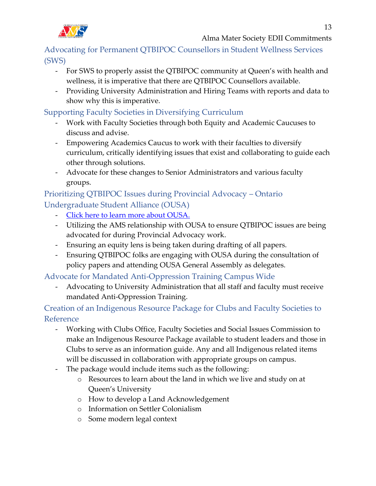Advocating for Permanent QTBIPOC Counsellors in Student Wellness Services (SWS)

- For SWS to properly assist the QTBIPOC community at Queen's with health and wellness, it is imperative that there are QTBIPOC Counsellors available.
- Providing University Administration and Hiring Teams with reports and data to show why this is imperative.

#### <span id="page-12-0"></span>Supporting Faculty Societies in Diversifying Curriculum

- Work with Faculty Societies through both Equity and Academic Caucuses to discuss and advise.
- Empowering Academics Caucus to work with their faculties to diversify curriculum, critically identifying issues that exist and collaborating to guide each other through solutions.
- Advocate for these changes to Senior Administrators and various faculty groups.

#### <span id="page-12-1"></span>Prioritizing QTBIPOC Issues during Provincial Advocacy – Ontario Undergraduate Student Alliance (OUSA)

- [Click here to learn more about OUSA.](https://www.ousa.ca/about)
- Utilizing the AMS relationship with OUSA to ensure QTBIPOC issues are being advocated for during Provincial Advocacy work.
- Ensuring an equity lens is being taken during drafting of all papers.
- Ensuring QTBIPOC folks are engaging with OUSA during the consultation of policy papers and attending OUSA General Assembly as delegates.

<span id="page-12-2"></span>Advocate for Mandated Anti-Oppression Training Campus Wide

- Advocating to University Administration that all staff and faculty must receive mandated Anti-Oppression Training.

<span id="page-12-3"></span>Creation of an Indigenous Resource Package for Clubs and Faculty Societies to Reference

- Working with Clubs Office, Faculty Societies and Social Issues Commission to make an Indigenous Resource Package available to student leaders and those in Clubs to serve as an information guide. Any and all Indigenous related items will be discussed in collaboration with appropriate groups on campus.
- The package would include items such as the following:
	- o Resources to learn about the land in which we live and study on at Queen's University
	- o How to develop a Land Acknowledgement
	- o Information on Settler Colonialism
	- o Some modern legal context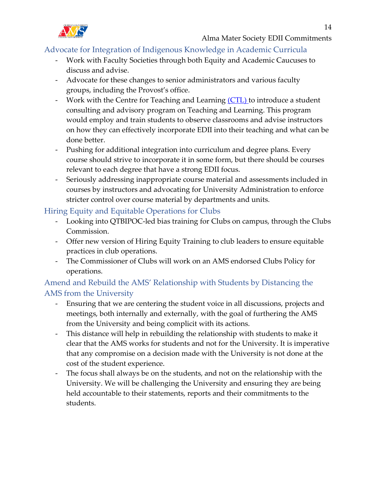

#### <span id="page-13-0"></span>Advocate for Integration of Indigenous Knowledge in Academic Curricula

- Work with Faculty Societies through both Equity and Academic Caucuses to discuss and advise.
- Advocate for these changes to senior administrators and various faculty groups, including the Provost's office.
- Work with the Centre for Teaching and Learning [\(CTL\)](https://www.queensu.ca/ctl/home) to introduce a student consulting and advisory program on Teaching and Learning. This program would employ and train students to observe classrooms and advise instructors on how they can effectively incorporate EDII into their teaching and what can be done better.
- Pushing for additional integration into curriculum and degree plans. Every course should strive to incorporate it in some form, but there should be courses relevant to each degree that have a strong EDII focus.
- Seriously addressing inappropriate course material and assessments included in courses by instructors and advocating for University Administration to enforce stricter control over course material by departments and units.

#### <span id="page-13-1"></span>Hiring Equity and Equitable Operations for Clubs

- Looking into QTBIPOC-led bias training for Clubs on campus, through the Clubs Commission.
- Offer new version of Hiring Equity Training to club leaders to ensure equitable practices in club operations.
- The Commissioner of Clubs will work on an AMS endorsed Clubs Policy for operations.

#### <span id="page-13-2"></span>Amend and Rebuild the AMS' Relationship with Students by Distancing the AMS from the University

- Ensuring that we are centering the student voice in all discussions, projects and meetings, both internally and externally, with the goal of furthering the AMS from the University and being complicit with its actions.
- This distance will help in rebuilding the relationship with students to make it clear that the AMS works for students and not for the University. It is imperative that any compromise on a decision made with the University is not done at the cost of the student experience.
- The focus shall always be on the students, and not on the relationship with the University. We will be challenging the University and ensuring they are being held accountable to their statements, reports and their commitments to the students.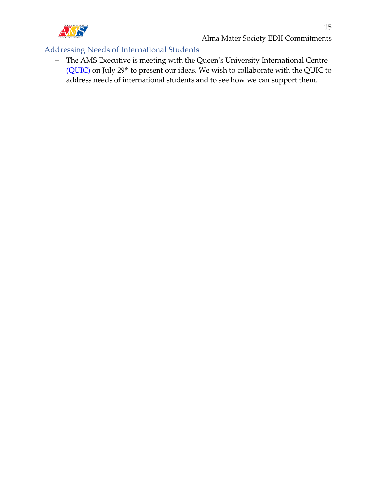

#### <span id="page-14-0"></span>Addressing Needs of International Students

− The AMS Executive is meeting with the Queen's University International Centre [\(QUIC\)](https://quic.queensu.ca/) on July 29<sup>th</sup> to present our ideas. We wish to collaborate with the QUIC to address needs of international students and to see how we can support them.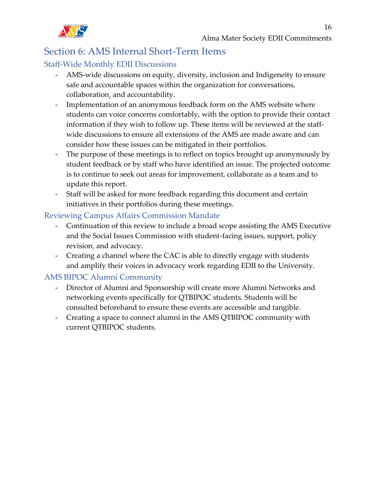

## <span id="page-15-0"></span>Section 6: AMS Internal Short-Term Items

#### <span id="page-15-1"></span>Staff-Wide Monthly EDII Discussions

- AMS-wide discussions on equity, diversity, inclusion and Indigeneity to ensure safe and accountable spaces within the organization for conversations, collaboration, and accountability.
- Implementation of an anonymous feedback form on the AMS website where students can voice concerns comfortably, with the option to provide their contact information if they wish to follow up. These items will be reviewed at the staffwide discussions to ensure all extensions of the AMS are made aware and can consider how these issues can be mitigated in their portfolios.
- The purpose of these meetings is to reflect on topics brought up anonymously by student feedback or by staff who have identified an issue. The projected outcome is to continue to seek out areas for improvement, collaborate as a team and to update this report.
- Staff will be asked for more feedback regarding this document and certain initiatives in their portfolios during these meetings.

#### <span id="page-15-2"></span>Reviewing Campus Affairs Commission Mandate

- Continuation of this review to include a broad scope assisting the AMS Executive and the Social Issues Commission with student-facing issues, support, policy revision, and advocacy.
- Creating a channel where the CAC is able to directly engage with students and amplify their voices in advocacy work regarding EDII to the University.

#### <span id="page-15-3"></span>AMS BIPOC Alumni Community

- Director of Alumni and Sponsorship will create more Alumni Networks and networking events specifically for QTBIPOC students. Students will be consulted beforehand to ensure these events are accessible and tangible.
- Creating a space to connect alumni in the AMS QTBIPOC community with current QTBIPOC students.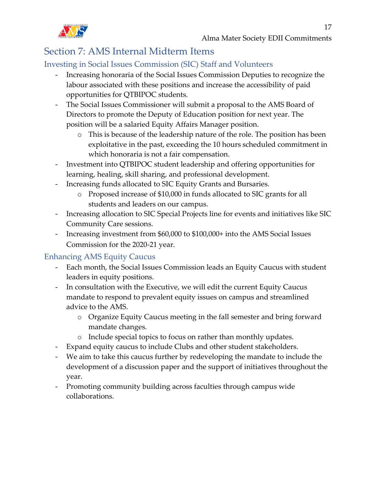

# <span id="page-16-0"></span>Section 7: AMS Internal Midterm Items

#### <span id="page-16-1"></span>Investing in Social Issues Commission (SIC) Staff and Volunteers

- Increasing honoraria of the Social Issues Commission Deputies to recognize the labour associated with these positions and increase the accessibility of paid opportunities for QTBIPOC students.
- The Social Issues Commissioner will submit a proposal to the AMS Board of Directors to promote the Deputy of Education position for next year. The position will be a salaried Equity Affairs Manager position.
	- o This is because of the leadership nature of the role. The position has been exploitative in the past, exceeding the 10 hours scheduled commitment in which honoraria is not a fair compensation.
- Investment into QTBIPOC student leadership and offering opportunities for learning, healing, skill sharing, and professional development.
- Increasing funds allocated to SIC Equity Grants and Bursaries.
	- o Proposed increase of \$10,000 in funds allocated to SIC grants for all students and leaders on our campus.
- Increasing allocation to SIC Special Projects line for events and initiatives like SIC Community Care sessions.
- Increasing investment from \$60,000 to \$100,000+ into the AMS Social Issues Commission for the 2020-21 year.

#### <span id="page-16-2"></span>Enhancing AMS Equity Caucus

- Each month, the Social Issues Commission leads an Equity Caucus with student leaders in equity positions.
- In consultation with the Executive, we will edit the current Equity Caucus mandate to respond to prevalent equity issues on campus and streamlined advice to the AMS.
	- o Organize Equity Caucus meeting in the fall semester and bring forward mandate changes.
	- o Include special topics to focus on rather than monthly updates.
- Expand equity caucus to include Clubs and other student stakeholders.
- We aim to take this caucus further by redeveloping the mandate to include the development of a discussion paper and the support of initiatives throughout the year.
- Promoting community building across faculties through campus wide collaborations.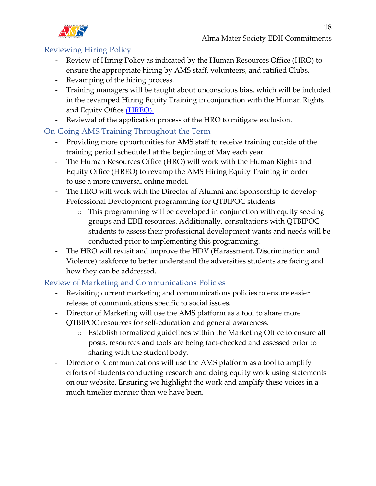

#### <span id="page-17-0"></span>Reviewing Hiring Policy

- Review of Hiring Policy as indicated by the Human Resources Office (HRO) to ensure the appropriate hiring by AMS staff, volunteers, and ratified Clubs.
- Revamping of the hiring process.
- Training managers will be taught about unconscious bias, which will be included in the revamped Hiring Equity Training in conjunction with the Human Rights and Equity Office [\(HREO\).](https://www.queensu.ca/hreo/home)
- Reviewal of the application process of the HRO to mitigate exclusion.

#### <span id="page-17-1"></span>On-Going AMS Training Throughout the Term

- Providing more opportunities for AMS staff to receive training outside of the training period scheduled at the beginning of May each year.
- The Human Resources Office (HRO) will work with the Human Rights and Equity Office (HREO) to revamp the AMS Hiring Equity Training in order to use a more universal online model.
- The HRO will work with the Director of Alumni and Sponsorship to develop Professional Development programming for QTBIPOC students.
	- o This programming will be developed in conjunction with equity seeking groups and EDII resources. Additionally, consultations with QTBIPOC students to assess their professional development wants and needs will be conducted prior to implementing this programming.
- The HRO will revisit and improve the HDV (Harassment, Discrimination and Violence) taskforce to better understand the adversities students are facing and how they can be addressed.

#### <span id="page-17-2"></span>Review of Marketing and Communications Policies

- Revisiting current marketing and communications policies to ensure easier release of communications specific to social issues.
- Director of Marketing will use the AMS platform as a tool to share more QTBIPOC resources for self-education and general awareness.
	- o Establish formalized guidelines within the Marketing Office to ensure all posts, resources and tools are being fact-checked and assessed prior to sharing with the student body.
- Director of Communications will use the AMS platform as a tool to amplify efforts of students conducting research and doing equity work using statements on our website. Ensuring we highlight the work and amplify these voices in a much timelier manner than we have been.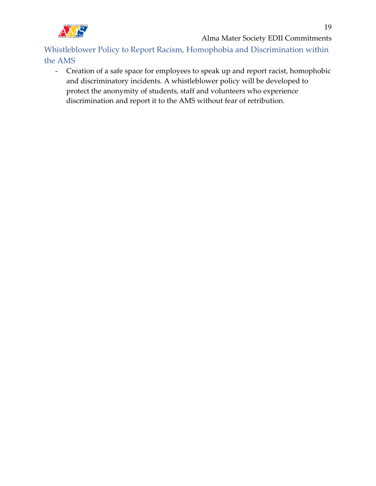

Alma Mater Society EDII Commitments

<span id="page-18-0"></span>Whistleblower Policy to Report Racism, Homophobia and Discrimination within the AMS

- Creation of a safe space for employees to speak up and report racist, homophobic and discriminatory incidents. A whistleblower policy will be developed to protect the anonymity of students, staff and volunteers who experience discrimination and report it to the AMS without fear of retribution.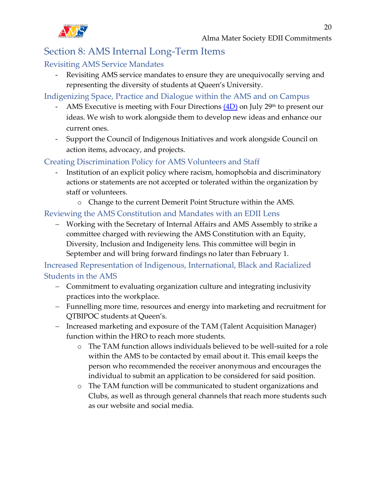

## <span id="page-19-0"></span>Section 8: AMS Internal Long-Term Items

#### <span id="page-19-1"></span>Revisiting AMS Service Mandates

- Revisiting AMS service mandates to ensure they are unequivocally serving and representing the diversity of students at Queen's University.

<span id="page-19-2"></span>Indigenizing Space, Practice and Dialogue within the AMS and on Campus

- AMS Executive is meeting with Four Directions  $(4D)$  on July 29<sup>th</sup> to present our ideas. We wish to work alongside them to develop new ideas and enhance our current ones.
- Support the Council of Indigenous Initiatives and work alongside Council on action items, advocacy, and projects.

<span id="page-19-3"></span>Creating Discrimination Policy for AMS Volunteers and Staff

- Institution of an explicit policy where racism, homophobia and discriminatory actions or statements are not accepted or tolerated within the organization by staff or volunteers.
	- o Change to the current Demerit Point Structure within the AMS.

#### <span id="page-19-4"></span>Reviewing the AMS Constitution and Mandates with an EDII Lens

− Working with the Secretary of Internal Affairs and AMS Assembly to strike a committee charged with reviewing the AMS Constitution with an Equity, Diversity, Inclusion and Indigeneity lens. This committee will begin in September and will bring forward findings no later than February 1.

<span id="page-19-5"></span>Increased Representation of Indigenous, International, Black and Racialized Students in the AMS

- − Commitment to evaluating organization culture and integrating inclusivity practices into the workplace.
- − Funnelling more time, resources and energy into marketing and recruitment for QTBIPOC students at Queen's.
- − Increased marketing and exposure of the TAM (Talent Acquisition Manager) function within the HRO to reach more students.
	- o The TAM function allows individuals believed to be well-suited for a role within the AMS to be contacted by email about it. This email keeps the person who recommended the receiver anonymous and encourages the individual to submit an application to be considered for said position.
	- o The TAM function will be communicated to student organizations and Clubs, as well as through general channels that reach more students such as our website and social media.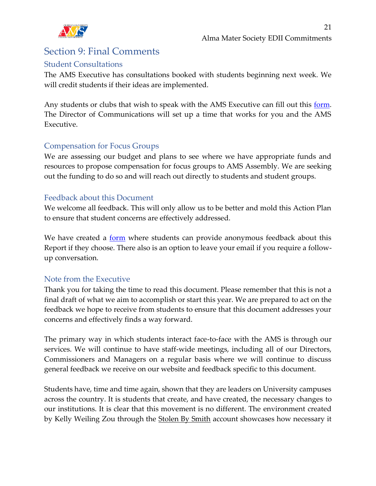

# <span id="page-20-0"></span>Section 9: Final Comments

#### <span id="page-20-1"></span>Student Consultations

The AMS Executive has consultations booked with students beginning next week. We will credit students if their ideas are implemented.

Any students or clubs that wish to speak with the AMS Executive can fill out this [form.](https://forms.office.com/Pages/ResponsePage.aspx?id=ojKzEm_zjk-kqodi9MZZUmEiGSKFmdNOrqQXKqOtNVFUNjVZTDVFVUFENEkxU1JPWlFJQVExU1EzUi4u) The Director of Communications will set up a time that works for you and the AMS Executive.

#### <span id="page-20-2"></span>Compensation for Focus Groups

We are assessing our budget and plans to see where we have appropriate funds and resources to propose compensation for focus groups to AMS Assembly. We are seeking out the funding to do so and will reach out directly to students and student groups.

#### <span id="page-20-3"></span>Feedback about this Document

We welcome all feedback. This will only allow us to be better and mold this Action Plan to ensure that student concerns are effectively addressed.

We have created a <u>form</u> where students can provide anonymous feedback about this Report if they choose. There also is an option to leave your email if you require a followup conversation.

#### <span id="page-20-4"></span>Note from the Executive

Thank you for taking the time to read this document. Please remember that this is not a final draft of what we aim to accomplish or start this year. We are prepared to act on the feedback we hope to receive from students to ensure that this document addresses your concerns and effectively finds a way forward.

The primary way in which students interact face-to-face with the AMS is through our services. We will continue to have staff-wide meetings, including all of our Directors, Commissioners and Managers on a regular basis where we will continue to discuss general feedback we receive on our website and feedback specific to this document.

Students have, time and time again, shown that they are leaders on University campuses across the country. It is students that create, and have created, the necessary changes to our institutions. It is clear that this movement is no different. The environment created by Kelly Weiling Zou through the **Stolen By Smith account showcases how necessary it**